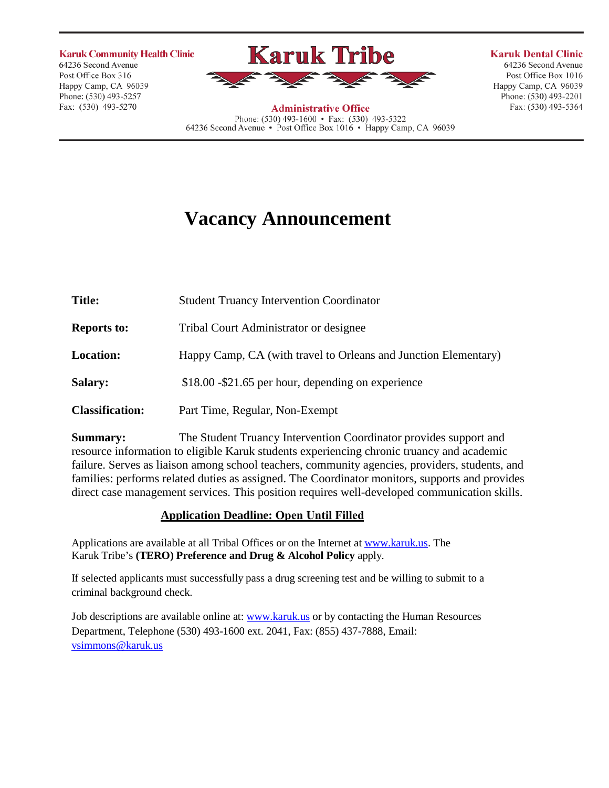**Karuk Community Health Clinic** 64236 Second Avenue Post Office Box 316 Happy Camp, CA 96039 Phone: (530) 493-5257

Fax: (530) 493-5270



**Karuk Dental Clinic** 64236 Second Avenue Post Office Box 1016

Happy Camp, CA 96039

Phone: (530) 493-2201

Fax: (530) 493-5364

**Administrative Office** Phone:  $(530)$  493-1600 • Fax:  $(530)$  493-5322 64236 Second Avenue • Post Office Box 1016 • Happy Camp, CA 96039

# **Vacancy Announcement**

**Title:** Student Truancy Intervention Coordinator **Reports to:** Tribal Court Administrator or designee **Location:** Happy Camp, CA (with travel to Orleans and Junction Elementary) **Salary:** \$18.00 -\$21.65 per hour, depending on experience **Classification:** Part Time, Regular, Non-Exempt

**Summary:** The Student Truancy Intervention Coordinator provides support and resource information to eligible Karuk students experiencing chronic truancy and academic failure. Serves as liaison among school teachers, community agencies, providers, students, and families: performs related duties as assigned. The Coordinator monitors, supports and provides direct case management services. This position requires well-developed communication skills.

## **Application Deadline: Open Until Filled**

Applications are available at all Tribal Offices or on the Internet at [www.karuk.us.](http://www.karuk.us/) The Karuk Tribe's **(TERO) Preference and Drug & Alcohol Policy** apply.

If selected applicants must successfully pass a drug screening test and be willing to submit to a criminal background check.

Job descriptions are available online at: [www.karuk.us o](http://www.karuk.us/)r by contacting the Human Resources Department, Telephone (530) 493-1600 ext. 2041, Fax: (855) 437-7888, Email: [vsimmons@karuk.us](mailto:vsimmons@karuk.us)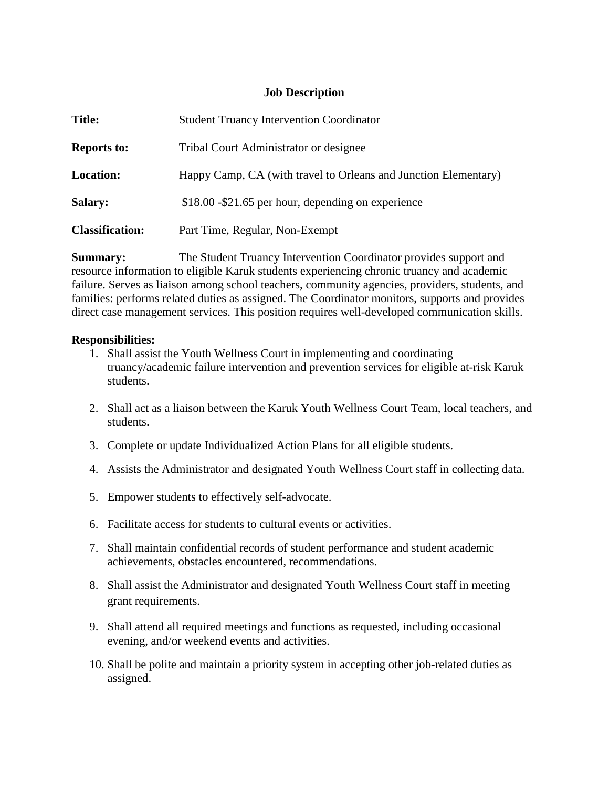## **Job Description**

| <b>Title:</b>          | <b>Student Truancy Intervention Coordinator</b>                 |
|------------------------|-----------------------------------------------------------------|
| <b>Reports to:</b>     | Tribal Court Administrator or designee                          |
| <b>Location:</b>       | Happy Camp, CA (with travel to Orleans and Junction Elementary) |
| <b>Salary:</b>         | $$18.00 - $21.65$ per hour, depending on experience             |
| <b>Classification:</b> | Part Time, Regular, Non-Exempt                                  |

**Summary:** The Student Truancy Intervention Coordinator provides support and resource information to eligible Karuk students experiencing chronic truancy and academic failure. Serves as liaison among school teachers, community agencies, providers, students, and families: performs related duties as assigned. The Coordinator monitors, supports and provides direct case management services. This position requires well-developed communication skills.

## **Responsibilities:**

- 1. Shall assist the Youth Wellness Court in implementing and coordinating truancy/academic failure intervention and prevention services for eligible at-risk Karuk students.
- 2. Shall act as a liaison between the Karuk Youth Wellness Court Team, local teachers, and students.
- 3. Complete or update Individualized Action Plans for all eligible students.
- 4. Assists the Administrator and designated Youth Wellness Court staff in collecting data.
- 5. Empower students to effectively self-advocate.
- 6. Facilitate access for students to cultural events or activities.
- 7. Shall maintain confidential records of student performance and student academic achievements, obstacles encountered, recommendations.
- 8. Shall assist the Administrator and designated Youth Wellness Court staff in meeting grant requirements.
- 9. Shall attend all required meetings and functions as requested, including occasional evening, and/or weekend events and activities.
- 10. Shall be polite and maintain a priority system in accepting other job-related duties as assigned.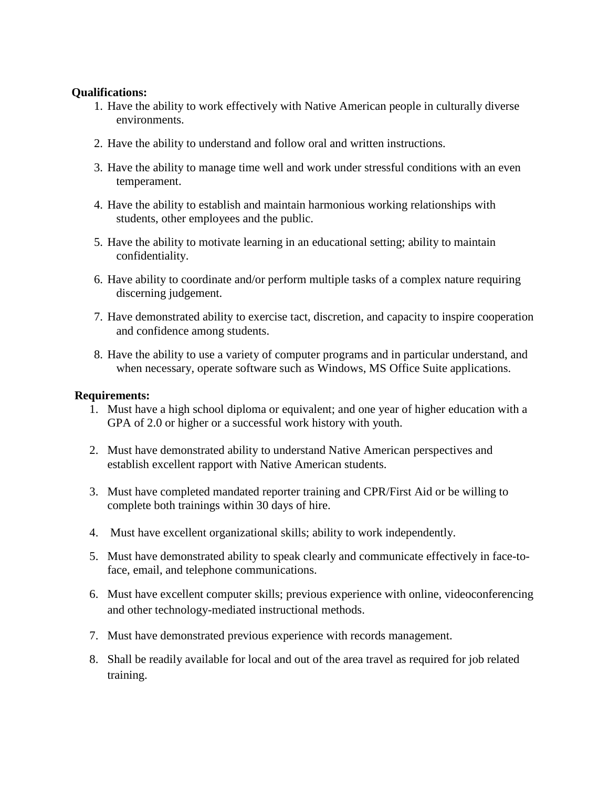#### **Qualifications:**

- 1. Have the ability to work effectively with Native American people in culturally diverse environments.
- 2. Have the ability to understand and follow oral and written instructions.
- 3. Have the ability to manage time well and work under stressful conditions with an even temperament.
- 4. Have the ability to establish and maintain harmonious working relationships with students, other employees and the public.
- 5. Have the ability to motivate learning in an educational setting; ability to maintain confidentiality.
- 6. Have ability to coordinate and/or perform multiple tasks of a complex nature requiring discerning judgement.
- 7. Have demonstrated ability to exercise tact, discretion, and capacity to inspire cooperation and confidence among students.
- 8. Have the ability to use a variety of computer programs and in particular understand, and when necessary, operate software such as Windows, MS Office Suite applications.

#### **Requirements:**

- 1. Must have a high school diploma or equivalent; and one year of higher education with a GPA of 2.0 or higher or a successful work history with youth.
- 2. Must have demonstrated ability to understand Native American perspectives and establish excellent rapport with Native American students.
- 3. Must have completed mandated reporter training and CPR/First Aid or be willing to complete both trainings within 30 days of hire.
- 4. Must have excellent organizational skills; ability to work independently.
- 5. Must have demonstrated ability to speak clearly and communicate effectively in face-toface, email, and telephone communications.
- 6. Must have excellent computer skills; previous experience with online, videoconferencing and other technology-mediated instructional methods.
- 7. Must have demonstrated previous experience with records management.
- 8. Shall be readily available for local and out of the area travel as required for job related training.